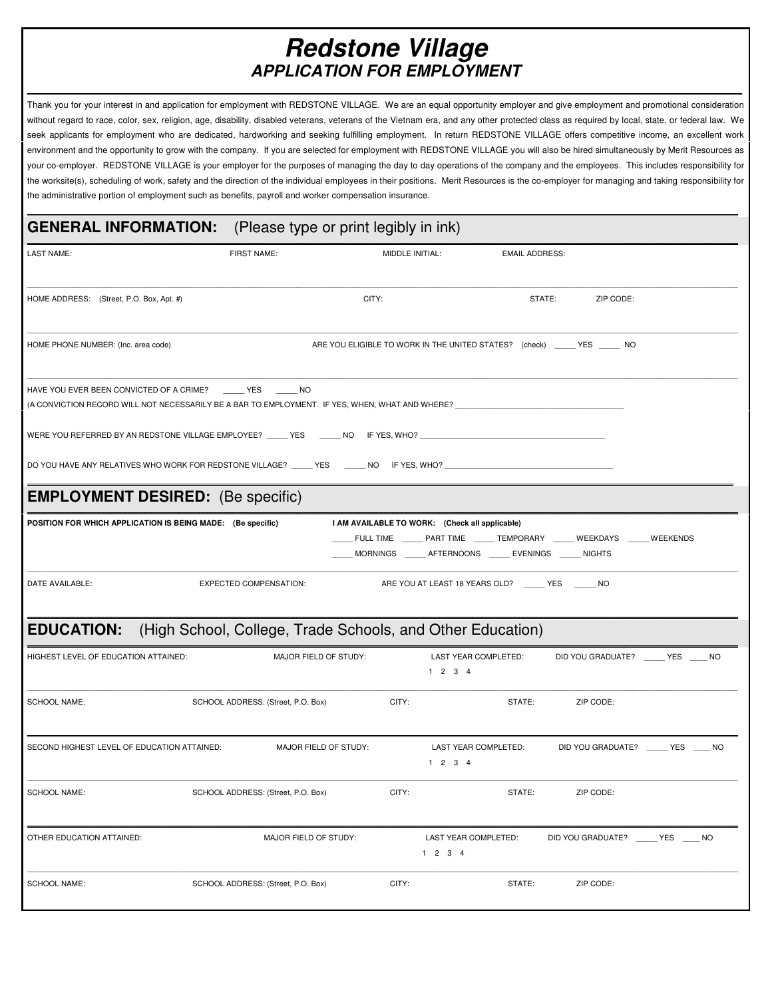## **Redstone Village APPLICATION FOR EMPLOYMENT**

\_\_\_\_\_\_\_\_\_\_\_\_\_\_\_\_\_\_\_\_\_\_\_\_\_\_\_\_\_\_\_\_\_\_\_\_\_\_\_\_\_\_\_\_\_\_\_\_\_\_\_\_\_\_\_\_\_\_\_\_\_\_\_\_\_\_\_\_\_\_\_\_\_\_\_\_\_\_\_\_\_\_\_\_\_\_\_\_\_\_\_\_\_\_\_\_\_\_\_\_\_\_\_\_\_\_\_\_\_\_\_\_\_\_\_\_\_\_\_\_\_\_\_\_\_\_\_\_\_\_\_\_\_\_\_\_\_\_\_\_\_\_\_\_\_\_\_\_\_\_\_\_\_\_\_\_\_\_\_\_\_\_\_\_\_\_\_\_\_\_

Thank you for your interest in and application for employment with REDSTONE VILLAGE. We are an equal opportunity employer and give employment and promotional consideration without regard to race, color, sex, religion, age, disability, disabled veterans, veterans of the Vietnam era, and any other protected class as required by local, state, or federal law. We seek applicants for employment who are dedicated, hardworking and seeking fulfilling employment. In return REDSTONE VILLAGE offers competitive income, an excellent work environment and the opportunity to grow with the company. If you are selected for employment with REDSTONE VILLAGE you will also be hired simultaneously by Merit Resources as your co-employer. REDSTONE VILLAGE is your employer for the purposes of managing the day to day operations of the company and the employees. This includes responsibility for the worksite(s), scheduling of work, safety and the direction of the individual employees in their positions. Merit Resources is the co-employer for managing and taking responsibility for the administrative portion of employment such as benefits, payroll and worker compensation insurance.

\_\_\_\_\_\_\_\_\_\_\_\_\_\_\_\_\_\_\_\_\_\_\_\_\_\_\_\_\_\_\_\_\_\_\_\_\_\_\_\_\_\_\_\_\_\_\_\_\_\_\_\_\_\_\_\_\_\_\_\_\_\_\_\_\_\_\_\_\_\_\_\_\_\_\_\_\_\_\_\_\_\_\_\_\_\_\_\_\_\_\_\_\_\_\_\_\_\_\_\_\_\_\_\_\_\_\_\_\_\_\_\_\_\_\_\_\_\_\_\_\_\_\_\_\_\_\_\_\_\_\_\_\_\_\_\_\_\_\_\_\_\_\_\_\_\_\_\_\_\_\_\_\_\_\_\_\_\_\_\_\_\_\_\_\_\_\_\_\_

## **GENERAL INFORMATION:** (Please type or print legibly in ink)

| <b>LAST NAME:</b>                                                                                                                                                 | FIRST NAME:                                                | MIDDLE INITIAL:                                                                                                                                                                                |                                                   | <b>EMAIL ADDRESS:</b> |                                     |  |
|-------------------------------------------------------------------------------------------------------------------------------------------------------------------|------------------------------------------------------------|------------------------------------------------------------------------------------------------------------------------------------------------------------------------------------------------|---------------------------------------------------|-----------------------|-------------------------------------|--|
| HOME ADDRESS: (Street, P.O. Box, Apt. #)                                                                                                                          |                                                            | CITY:                                                                                                                                                                                          |                                                   | STATE:                | ZIP CODE:                           |  |
| HOME PHONE NUMBER: (Inc. area code)                                                                                                                               |                                                            | ARE YOU ELIGIBLE TO WORK IN THE UNITED STATES? (check) _____ YES _____ NO                                                                                                                      |                                                   |                       |                                     |  |
| HAVE YOU EVER BEEN CONVICTED OF A CRIME? YES NO<br>(A CONVICTION RECORD WILL NOT NECESSARILY BE A BAR TO EMPLOYMENT. IF YES, WHEN, WHAT AND WHERE? ______________ |                                                            |                                                                                                                                                                                                |                                                   |                       |                                     |  |
|                                                                                                                                                                   |                                                            |                                                                                                                                                                                                |                                                   |                       |                                     |  |
|                                                                                                                                                                   |                                                            |                                                                                                                                                                                                |                                                   |                       |                                     |  |
| <b>EMPLOYMENT DESIRED:</b> (Be specific)                                                                                                                          |                                                            |                                                                                                                                                                                                |                                                   |                       |                                     |  |
| POSITION FOR WHICH APPLICATION IS BEING MADE: (Be specific)                                                                                                       |                                                            | I AM AVAILABLE TO WORK: (Check all applicable)<br>_____ FULL TIME _______ PART TIME _______ TEMPORARY ______ WEEKDAYS ______ WEEKENDS<br>MORNINGS _____ AFTERNOONS _____ EVENINGS _____ NIGHTS |                                                   |                       |                                     |  |
| DATE AVAILABLE:                                                                                                                                                   | <b>EXPECTED COMPENSATION:</b>                              |                                                                                                                                                                                                | ARE YOU AT LEAST 18 YEARS OLD? _____ YES _____ NO |                       |                                     |  |
| <b>EDUCATION:</b>                                                                                                                                                 | (High School, College, Trade Schools, and Other Education) |                                                                                                                                                                                                |                                                   |                       |                                     |  |
| HIGHEST LEVEL OF EDUCATION ATTAINED:                                                                                                                              | MAJOR FIELD OF STUDY:                                      |                                                                                                                                                                                                | LAST YEAR COMPLETED:<br>1234                      |                       | DID YOU GRADUATE? _____ YES ____ NO |  |
| <b>SCHOOL NAME:</b>                                                                                                                                               | SCHOOL ADDRESS: (Street, P.O. Box)                         | CITY:                                                                                                                                                                                          |                                                   | STATE:                | ZIP CODE:                           |  |
| SECOND HIGHEST LEVEL OF EDUCATION ATTAINED:                                                                                                                       | MAJOR FIELD OF STUDY:                                      |                                                                                                                                                                                                | LAST YEAR COMPLETED:<br>1234                      |                       | DID YOU GRADUATE? YES NO            |  |
| <b>SCHOOL NAME:</b>                                                                                                                                               | SCHOOL ADDRESS: (Street, P.O. Box)                         | CITY:                                                                                                                                                                                          |                                                   | STATE:                | ZIP CODE:                           |  |
| OTHER EDUCATION ATTAINED:                                                                                                                                         | MAJOR FIELD OF STUDY:                                      |                                                                                                                                                                                                | <b>LAST YEAR COMPLETED:</b><br>$1 \t2 \t3 \t4$    |                       | DID YOU GRADUATE? YES NO            |  |
| <b>SCHOOL NAME:</b>                                                                                                                                               | SCHOOL ADDRESS: (Street, P.O. Box)                         | CITY:                                                                                                                                                                                          |                                                   | STATE:                | ZIP CODE:                           |  |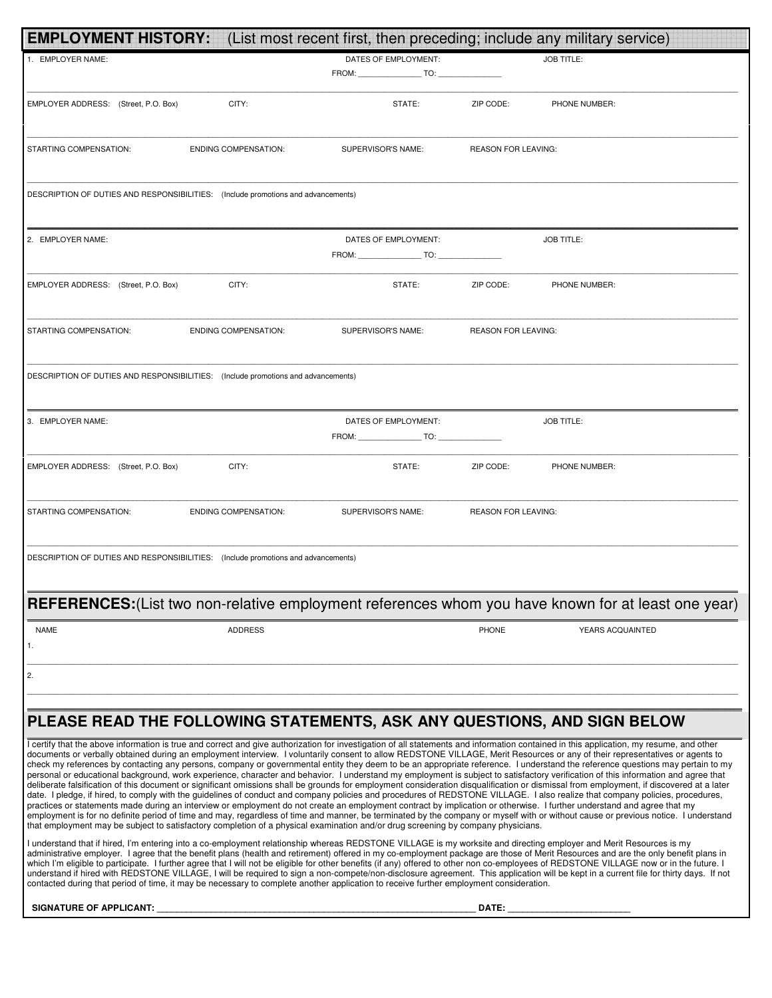| <b>EMPLOYMENT HISTORY:</b>                                                                                                                                                                                                                                                                                                                                                     | (List most recent first, then preceding; include any military service) |                            |                   |
|--------------------------------------------------------------------------------------------------------------------------------------------------------------------------------------------------------------------------------------------------------------------------------------------------------------------------------------------------------------------------------|------------------------------------------------------------------------|----------------------------|-------------------|
| 1. EMPLOYER NAME:                                                                                                                                                                                                                                                                                                                                                              | DATES OF EMPLOYMENT:                                                   |                            | <b>JOB TITLE:</b> |
|                                                                                                                                                                                                                                                                                                                                                                                |                                                                        |                            |                   |
|                                                                                                                                                                                                                                                                                                                                                                                |                                                                        |                            |                   |
| EMPLOYER ADDRESS: (Street, P.O. Box)<br>CITY:                                                                                                                                                                                                                                                                                                                                  | STATE:                                                                 | ZIP CODE:                  | PHONE NUMBER:     |
|                                                                                                                                                                                                                                                                                                                                                                                |                                                                        |                            |                   |
| STARTING COMPENSATION:<br><b>ENDING COMPENSATION:</b>                                                                                                                                                                                                                                                                                                                          | SUPERVISOR'S NAME:                                                     | <b>REASON FOR LEAVING:</b> |                   |
|                                                                                                                                                                                                                                                                                                                                                                                |                                                                        |                            |                   |
|                                                                                                                                                                                                                                                                                                                                                                                |                                                                        |                            |                   |
| DESCRIPTION OF DUTIES AND RESPONSIBILITIES: (Include promotions and advancements)                                                                                                                                                                                                                                                                                              |                                                                        |                            |                   |
|                                                                                                                                                                                                                                                                                                                                                                                |                                                                        |                            |                   |
| 2. EMPLOYER NAME:                                                                                                                                                                                                                                                                                                                                                              | DATES OF EMPLOYMENT:                                                   |                            | <b>JOB TITLE:</b> |
|                                                                                                                                                                                                                                                                                                                                                                                | FROM: TO:                                                              |                            |                   |
|                                                                                                                                                                                                                                                                                                                                                                                |                                                                        |                            |                   |
| EMPLOYER ADDRESS: (Street, P.O. Box)<br>CITY:                                                                                                                                                                                                                                                                                                                                  | STATE:                                                                 | ZIP CODE:                  | PHONE NUMBER:     |
|                                                                                                                                                                                                                                                                                                                                                                                |                                                                        |                            |                   |
|                                                                                                                                                                                                                                                                                                                                                                                |                                                                        |                            |                   |
| STARTING COMPENSATION:<br><b>ENDING COMPENSATION:</b>                                                                                                                                                                                                                                                                                                                          | SUPERVISOR'S NAME:                                                     | <b>REASON FOR LEAVING:</b> |                   |
|                                                                                                                                                                                                                                                                                                                                                                                |                                                                        |                            |                   |
| DESCRIPTION OF DUTIES AND RESPONSIBILITIES: (Include promotions and advancements)                                                                                                                                                                                                                                                                                              |                                                                        |                            |                   |
|                                                                                                                                                                                                                                                                                                                                                                                |                                                                        |                            |                   |
|                                                                                                                                                                                                                                                                                                                                                                                |                                                                        |                            |                   |
| 3. EMPLOYER NAME:                                                                                                                                                                                                                                                                                                                                                              | DATES OF EMPLOYMENT:                                                   |                            | <b>JOB TITLE:</b> |
|                                                                                                                                                                                                                                                                                                                                                                                | FROM: TO:                                                              |                            |                   |
| EMPLOYER ADDRESS: (Street, P.O. Box)<br>CITY:                                                                                                                                                                                                                                                                                                                                  | STATE:                                                                 | ZIP CODE:                  | PHONE NUMBER:     |
|                                                                                                                                                                                                                                                                                                                                                                                |                                                                        |                            |                   |
|                                                                                                                                                                                                                                                                                                                                                                                |                                                                        |                            |                   |
| STARTING COMPENSATION:<br><b>ENDING COMPENSATION:</b>                                                                                                                                                                                                                                                                                                                          | SUPERVISOR'S NAME:                                                     | <b>REASON FOR LEAVING:</b> |                   |
|                                                                                                                                                                                                                                                                                                                                                                                |                                                                        |                            |                   |
|                                                                                                                                                                                                                                                                                                                                                                                |                                                                        |                            |                   |
| DESCRIPTION OF DUTIES AND RESPONSIBILITIES: (Include promotions and advancements)                                                                                                                                                                                                                                                                                              |                                                                        |                            |                   |
|                                                                                                                                                                                                                                                                                                                                                                                |                                                                        |                            |                   |
| <b>REFERENCES:</b> (List two non-relative employment references whom you have known for at least one year)                                                                                                                                                                                                                                                                     |                                                                        |                            |                   |
|                                                                                                                                                                                                                                                                                                                                                                                |                                                                        |                            |                   |
| <b>NAME</b><br><b>ADDRESS</b>                                                                                                                                                                                                                                                                                                                                                  |                                                                        | <b>PHONE</b>               | YEARS ACQUAINTED  |
| 1.                                                                                                                                                                                                                                                                                                                                                                             |                                                                        |                            |                   |
| 2.                                                                                                                                                                                                                                                                                                                                                                             |                                                                        |                            |                   |
|                                                                                                                                                                                                                                                                                                                                                                                |                                                                        |                            |                   |
|                                                                                                                                                                                                                                                                                                                                                                                |                                                                        |                            |                   |
| PLEASE READ THE FOLLOWING STATEMENTS, ASK ANY QUESTIONS, AND SIGN BELOW                                                                                                                                                                                                                                                                                                        |                                                                        |                            |                   |
| I certify that the above information is true and correct and give authorization for investigation of all statements and information contained in this application, my resume, and other                                                                                                                                                                                        |                                                                        |                            |                   |
| documents or verbally obtained during an employment interview. I voluntarily consent to allow REDSTONE VILLAGE, Merit Resources or any of their representatives or agents to<br>check my references by contacting any persons, company or governmental entity they deem to be an appropriate reference. I understand the reference questions may pertain to my                 |                                                                        |                            |                   |
| personal or educational background, work experience, character and behavior. I understand my employment is subject to satisfactory verification of this information and agree that                                                                                                                                                                                             |                                                                        |                            |                   |
| deliberate falsification of this document or significant omissions shall be grounds for employment consideration disqualification or dismissal from employment, if discovered at a later<br>date. I pledge, if hired, to comply with the guidelines of conduct and company policies and procedures of REDSTONE VILLAGE. I also realize that company policies, procedures,      |                                                                        |                            |                   |
| practices or statements made during an interview or employment do not create an employment contract by implication or otherwise. I further understand and agree that my                                                                                                                                                                                                        |                                                                        |                            |                   |
| employment is for no definite period of time and may, regardless of time and manner, be terminated by the company or myself with or without cause or previous notice. I understand<br>that employment may be subject to satisfactory completion of a physical examination and/or drug screening by company physicians.                                                         |                                                                        |                            |                   |
| I understand that if hired, I'm entering into a co-employment relationship whereas REDSTONE VILLAGE is my worksite and directing employer and Merit Resources is my                                                                                                                                                                                                            |                                                                        |                            |                   |
| administrative employer. I agree that the benefit plans (health and retirement) offered in my co-employment package are those of Merit Resources and are the only benefit plans in<br>which I'm eligible to participate. I further agree that I will not be eligible for other benefits (if any) offered to other non co-employees of REDSTONE VILLAGE now or in the future. I |                                                                        |                            |                   |
| understand if hired with REDSTONE VILLAGE, I will be required to sign a non-compete/non-disclosure agreement. This application will be kept in a current file for thirty days. If not                                                                                                                                                                                          |                                                                        |                            |                   |
| contacted during that period of time, it may be necessary to complete another application to receive further employment consideration.                                                                                                                                                                                                                                         |                                                                        |                            |                   |
| <b>SIGNATURE OF APPLICANT:</b>                                                                                                                                                                                                                                                                                                                                                 |                                                                        | DATE:                      |                   |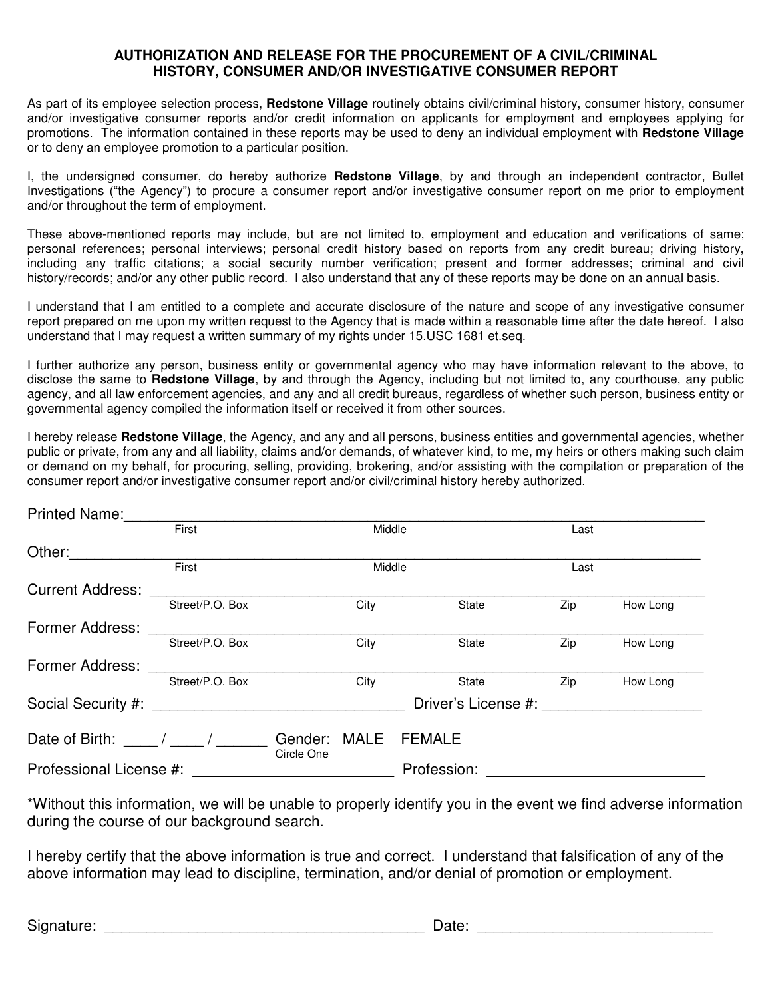## **AUTHORIZATION AND RELEASE FOR THE PROCUREMENT OF A CIVIL/CRIMINAL HISTORY, CONSUMER AND/OR INVESTIGATIVE CONSUMER REPORT**

As part of its employee selection process, **Redstone Village** routinely obtains civil/criminal history, consumer history, consumer and/or investigative consumer reports and/or credit information on applicants for employment and employees applying for promotions. The information contained in these reports may be used to deny an individual employment with **Redstone Village** or to deny an employee promotion to a particular position.

I, the undersigned consumer, do hereby authorize **Redstone Village**, by and through an independent contractor, Bullet Investigations ("the Agency") to procure a consumer report and/or investigative consumer report on me prior to employment and/or throughout the term of employment.

These above-mentioned reports may include, but are not limited to, employment and education and verifications of same; personal references; personal interviews; personal credit history based on reports from any credit bureau; driving history, including any traffic citations; a social security number verification; present and former addresses; criminal and civil history/records; and/or any other public record. I also understand that any of these reports may be done on an annual basis.

I understand that I am entitled to a complete and accurate disclosure of the nature and scope of any investigative consumer report prepared on me upon my written request to the Agency that is made within a reasonable time after the date hereof. I also understand that I may request a written summary of my rights under 15.USC 1681 et.seq.

I further authorize any person, business entity or governmental agency who may have information relevant to the above, to disclose the same to **Redstone Village**, by and through the Agency, including but not limited to, any courthouse, any public agency, and all law enforcement agencies, and any and all credit bureaus, regardless of whether such person, business entity or governmental agency compiled the information itself or received it from other sources.

I hereby release **Redstone Village**, the Agency, and any and all persons, business entities and governmental agencies, whether public or private, from any and all liability, claims and/or demands, of whatever kind, to me, my heirs or others making such claim or demand on my behalf, for procuring, selling, providing, brokering, and/or assisting with the compilation or preparation of the consumer report and/or investigative consumer report and/or civil/criminal history hereby authorized.

| <b>Printed Name:</b>    |                                                                                                                      |                       |             |                     |      |          |
|-------------------------|----------------------------------------------------------------------------------------------------------------------|-----------------------|-------------|---------------------|------|----------|
|                         | First                                                                                                                |                       | Middle      |                     | Last |          |
| Other:                  |                                                                                                                      |                       |             |                     |      |          |
|                         | First                                                                                                                |                       | Middle      |                     | Last |          |
| <b>Current Address:</b> |                                                                                                                      |                       |             |                     |      |          |
|                         | Street/P.O. Box                                                                                                      |                       | City        | State               | Zip  | How Long |
| <b>Former Address:</b>  |                                                                                                                      |                       |             |                     |      |          |
|                         | Street/P.O. Box                                                                                                      |                       | City        | State               | Zip  | How Long |
| <b>Former Address:</b>  |                                                                                                                      |                       |             |                     |      |          |
|                         | Street/P.O. Box                                                                                                      |                       | City        | State               | Zip  | How Long |
| Social Security #:      | <u> 1980 - Jan Stein Stein Stein Stein Stein Stein Stein Stein Stein Stein Stein Stein Stein Stein Stein Stein S</u> |                       |             | Driver's License #: |      |          |
|                         |                                                                                                                      |                       |             |                     |      |          |
| Date of Birth:          |                                                                                                                      | Gender:<br>Circle One | <b>MALE</b> | <b>FEMALE</b>       |      |          |
| Professional License #: |                                                                                                                      |                       |             | Profession:         |      |          |

\*Without this information, we will be unable to properly identify you in the event we find adverse information during the course of our background search.

I hereby certify that the above information is true and correct. I understand that falsification of any of the above information may lead to discipline, termination, and/or denial of promotion or employment.

Signature:  $\Box$